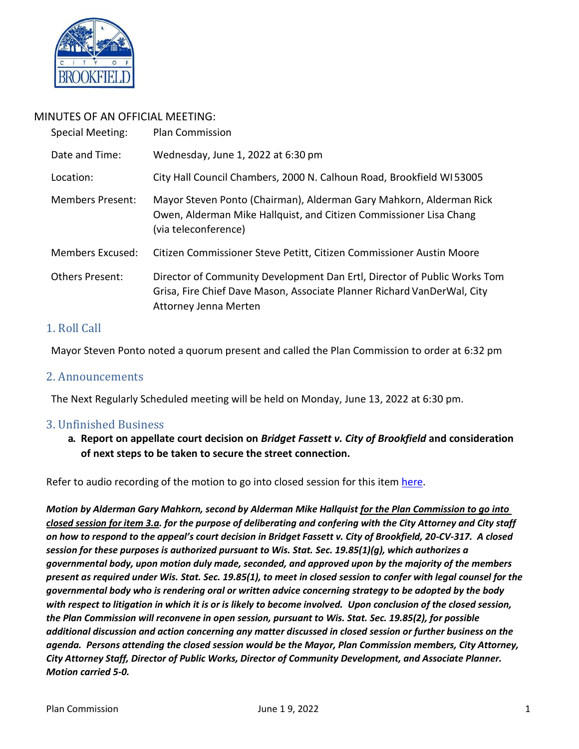

# MINUTES OF AN OFFICIAL MEETING:

| Special Meeting:        | <b>Plan Commission</b>                                                                                                                                                       |
|-------------------------|------------------------------------------------------------------------------------------------------------------------------------------------------------------------------|
| Date and Time:          | Wednesday, June 1, 2022 at 6:30 pm                                                                                                                                           |
| Location:               | City Hall Council Chambers, 2000 N. Calhoun Road, Brookfield WI53005                                                                                                         |
| <b>Members Present:</b> | Mayor Steven Ponto (Chairman), Alderman Gary Mahkorn, Alderman Rick<br>Owen, Alderman Mike Hallquist, and Citizen Commissioner Lisa Chang<br>(via teleconference)            |
| Members Excused:        | Citizen Commissioner Steve Petitt, Citizen Commissioner Austin Moore                                                                                                         |
| <b>Others Present:</b>  | Director of Community Development Dan Ertl, Director of Public Works Tom<br>Grisa, Fire Chief Dave Mason, Associate Planner Richard VanDerWal, City<br>Attorney Jenna Merten |

# 1. Roll Call

Mayor Steven Ponto noted a quorum present and called the Plan Commission to order at 6:32 pm

## 2. Announcements

The Next Regularly Scheduled meeting will be held on Monday, June 13, 2022 at 6:30 pm.

## 3. Unfinished Business

**a. Report on appellate court decision on** *Bridget Fassett v. City of Brookfield* **and consideration of next steps to be taken to secure the street connection.**

Refer to audio recording of the motion to go into closed session for this ite[m here.](https://www.ci.brookfield.wi.us/DocumentCenter/View/19023/PC-05-09-2022-audio-move-to-closed-session)

*Motion by Alderman Gary Mahkorn, second by Alderman Mike Hallquist for the Plan Commission to go into closed session for item 3.a. for the purpose of deliberating and confering with the City Attorney and City staff on how to respond to the appeal's court decision in Bridget Fassett v. City of Brookfield, 20-CV-317. A closed session for these purposes is authorized pursuant to Wis. Stat. Sec. 19.85(1)(g), which authorizes a governmental body, upon motion duly made, seconded, and approved upon by the majority of the members present as required under Wis. Stat. Sec. 19.85(1), to meet in closed session to confer with legal counsel for the governmental body who is rendering oral or written advice concerning strategy to be adopted by the body with respect to litigation in which it is or is likely to become involved. Upon conclusion of the closed session, the Plan Commission will reconvene in open session, pursuant to Wis. Stat. Sec. 19.85(2), for possible additional discussion and action concerning any matter discussed in closed session or further business on the agenda. Persons attending the closed session would be the Mayor, Plan Commission members, City Attorney, City Attorney Staff, Director of Public Works, Director of Community Development, and Associate Planner. Motion carried 5-0.*